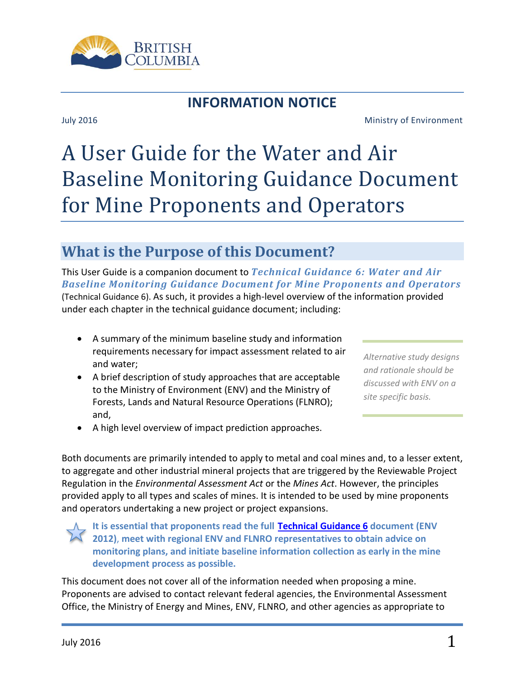

# **INFORMATION NOTICE**

#### July 2016 Ministry of Environment

# A User Guide for the Water and Air Baseline Monitoring Guidance Document for Mine Proponents and Operators

# **What is the Purpose of this Document?**

This User Guide is a companion document to *Technical Guidance 6: Water and Air Baseline Monitoring Guidance Document for Mine Proponents and Operators* (Technical Guidance 6). As such, it provides a high-level overview of the information provided under each chapter in the technical guidance document; including:

- A summary of the minimum baseline study and information requirements necessary for impact assessment related to air and water;
- A brief description of study approaches that are acceptable to the Ministry of Environment (ENV) and the Ministry of Forests, Lands and Natural Resource Operations (FLNRO); and,

*Alternative study designs and rationale should be discussed with ENV on a site specific basis.*

• A high level overview of impact prediction approaches.

Both documents are primarily intended to apply to metal and coal mines and, to a lesser extent, to aggregate and other industrial mineral projects that are triggered by the Reviewable Project Regulation in the *Environmental Assessment Act* or the *Mines Act*. However, the principles provided apply to all types and scales of mines. It is intended to be used by mine proponents and operators undertaking a new project or project expansions.

**It is essential that proponents read the full [Technical Guidance 6](http://www2.gov.bc.ca/gov/content/environment/waste-management/industrial-waste/mining-smelting/guidance-documents) document (ENV 2012)**, **meet with regional ENV and FLNRO representatives to obtain advice on monitoring plans, and initiate baseline information collection as early in the mine development process as possible.**

This document does not cover all of the information needed when proposing a mine. Proponents are advised to contact relevant federal agencies, the Environmental Assessment Office, the Ministry of Energy and Mines, ENV, FLNRO, and other agencies as appropriate to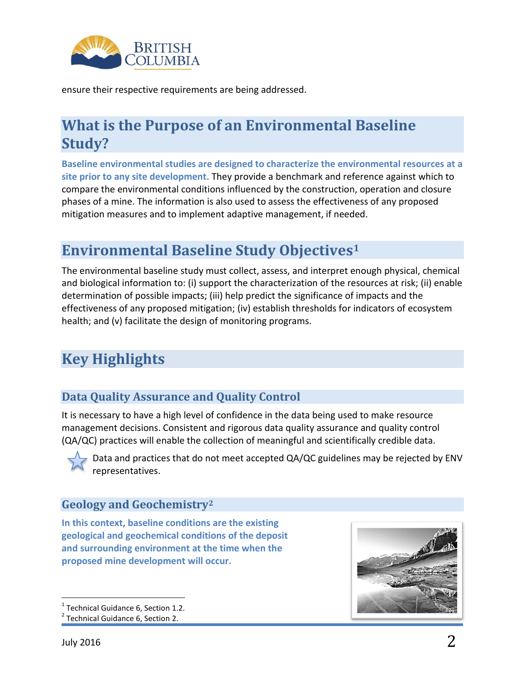

ensure their respective requirements are being addressed.

# **What is the Purpose of an Environmental Baseline Study?**

**Baseline environmental studies are designed to characterize the environmental resources at a site prior to any site development.** They provide a benchmark and reference against which to compare the environmental conditions influenced by the construction, operation and closure phases of a mine. The information is also used to assess the effectiveness of any proposed mitigation measures and to implement adaptive management, if needed.

# **Environmental Baseline Study Objectives[1](#page-1-0)**

The environmental baseline study must collect, assess, and interpret enough physical, chemical and biological information to: (i) support the characterization of the resources at risk; (ii) enable determination of possible impacts; (iii) help predict the significance of impacts and the effectiveness of any proposed mitigation; (iv) establish thresholds for indicators of ecosystem health; and (v) facilitate the design of monitoring programs.

# **Key Highlights**

# **Data Quality Assurance and Quality Control**

It is necessary to have a high level of confidence in the data being used to make resource management decisions. Consistent and rigorous data quality assurance and quality control (QA/QC) practices will enable the collection of meaningful and scientifically credible data.



Data and practices that do not meet accepted QA/QC guidelines may be rejected by ENV representatives.

# **Geology and Geochemistry[2](#page-1-1)**

**In this context, baseline conditions are the existing geological and geochemical conditions of the deposit and surrounding environment at the time when the proposed mine development will occur.**



<span id="page-1-0"></span><sup>&</sup>lt;sup>1</sup> Technical Guidance 6, Section 1.2.<br><sup>2</sup> Technical Guidance 6, Section 2.

<span id="page-1-1"></span>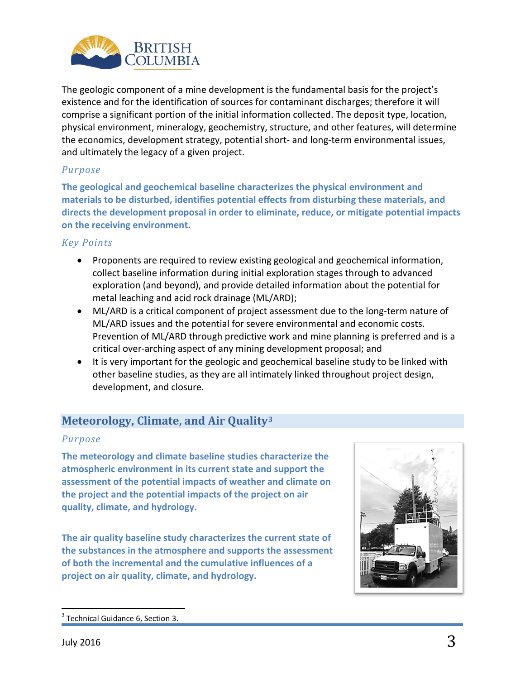

The geologic component of a mine development is the fundamental basis for the project's existence and for the identification of sources for contaminant discharges; therefore it will comprise a significant portion of the initial information collected. The deposit type, location, physical environment, mineralogy, geochemistry, structure, and other features, will determine the economics, development strategy, potential short- and long-term environmental issues, and ultimately the legacy of a given project.

#### *Purpose*

**The geological and geochemical baseline characterizes the physical environment and materials to be disturbed, identifies potential effects from disturbing these materials, and directs the development proposal in order to eliminate, reduce, or mitigate potential impacts on the receiving environment.**

#### *Key Points*

- Proponents are required to review existing geological and geochemical information, collect baseline information during initial exploration stages through to advanced exploration (and beyond), and provide detailed information about the potential for metal leaching and acid rock drainage (ML/ARD);
- ML/ARD is a critical component of project assessment due to the long-term nature of ML/ARD issues and the potential for severe environmental and economic costs. Prevention of ML/ARD through predictive work and mine planning is preferred and is a critical over-arching aspect of any mining development proposal; and
- It is very important for the geologic and geochemical baseline study to be linked with other baseline studies, as they are all intimately linked throughout project design, development, and closure.

# **Meteorology, Climate, and Air Quality[3](#page-2-0)**

#### *Purpose*

**The meteorology and climate baseline studies characterize the atmospheric environment in its current state and support the assessment of the potential impacts of weather and climate on the project and the potential impacts of the project on air quality, climate, and hydrology.**

**The air quality baseline study characterizes the current state of the substances in the atmosphere and supports the assessment of both the incremental and the cumulative influences of a project on air quality, climate, and hydrology.** 



<span id="page-2-0"></span> $3$  Technical Guidance 6, Section 3.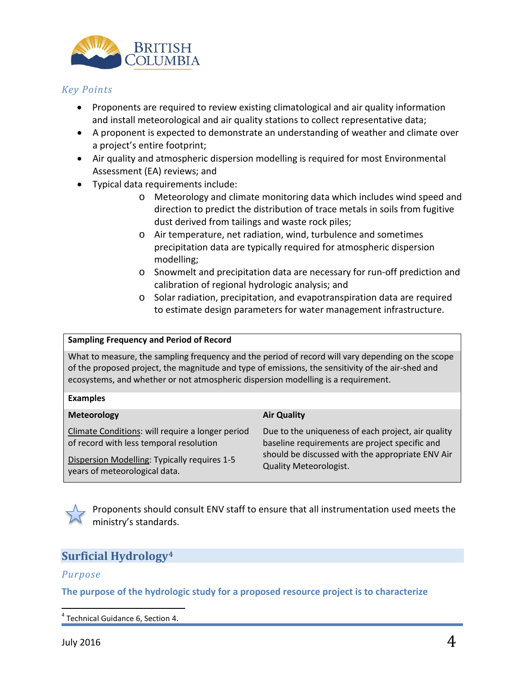

#### *Key Points*

- Proponents are required to review existing climatological and air quality information and install meteorological and air quality stations to collect representative data;
- A proponent is expected to demonstrate an understanding of weather and climate over a project's entire footprint;
- Air quality and atmospheric dispersion modelling is required for most Environmental Assessment (EA) reviews; and
- Typical data requirements include:
	- o Meteorology and climate monitoring data which includes wind speed and direction to predict the distribution of trace metals in soils from fugitive dust derived from tailings and waste rock piles;
	- o Air temperature, net radiation, wind, turbulence and sometimes precipitation data are typically required for atmospheric dispersion modelling;
	- o Snowmelt and precipitation data are necessary for run-off prediction and calibration of regional hydrologic analysis; and
	- o Solar radiation, precipitation, and evapotranspiration data are required to estimate design parameters for water management infrastructure.

#### **Sampling Frequency and Period of Record**

What to measure, the sampling frequency and the period of record will vary depending on the scope of the proposed project, the magnitude and type of emissions, the sensitivity of the air-shed and ecosystems, and whether or not atmospheric dispersion modelling is a requirement.

#### **Examples Meteorology**

Climate Conditions: will require a longer period of record with less temporal resolution

Dispersion Modelling: Typically requires 1-5 years of meteorological data.

#### **Air Quality**

Due to the uniqueness of each project, air quality baseline requirements are project specific and should be discussed with the appropriate ENV Air Quality Meteorologist.

Proponents should consult ENV staff to ensure that all instrumentation used meets the ministry's standards.

# **Surficial Hydrology[4](#page-3-0)**

#### *Purpose*

**The purpose of the hydrologic study for a proposed resource project is to characterize** 

<span id="page-3-0"></span> $4$  Technical Guidance 6, Section 4.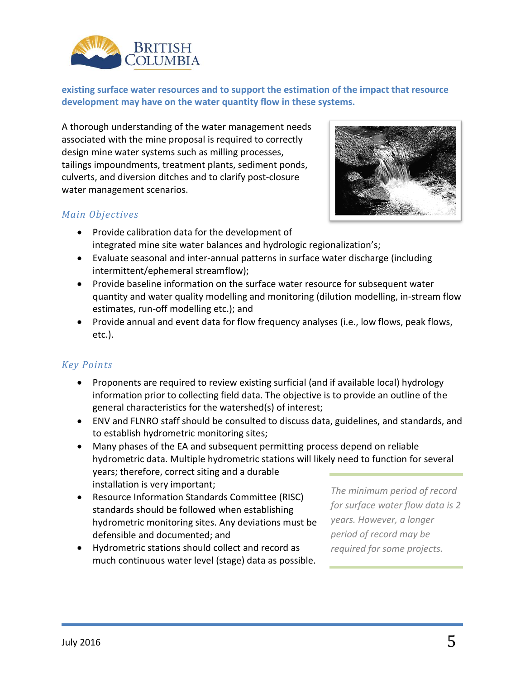

**existing surface water resources and to support the estimation of the impact that resource development may have on the water quantity flow in these systems.**

A thorough understanding of the water management needs associated with the mine proposal is required to correctly design mine water systems such as milling processes, tailings impoundments, treatment plants, sediment ponds, culverts, and diversion ditches and to clarify post-closure water management scenarios.





- Provide calibration data for the development of integrated mine site water balances and hydrologic regionalization's;
- Evaluate seasonal and inter-annual patterns in surface water discharge (including intermittent/ephemeral streamflow);
- Provide baseline information on the surface water resource for subsequent water quantity and water quality modelling and monitoring (dilution modelling, in-stream flow estimates, run-off modelling etc.); and
- Provide annual and event data for flow frequency analyses (i.e., low flows, peak flows, etc.).

#### *Key Points*

- Proponents are required to review existing surficial (and if available local) hydrology information prior to collecting field data. The objective is to provide an outline of the general characteristics for the watershed(s) of interest;
- ENV and FLNRO staff should be consulted to discuss data, guidelines, and standards, and to establish hydrometric monitoring sites;
- Many phases of the EA and subsequent permitting process depend on reliable hydrometric data. Multiple hydrometric stations will likely need to function for several years; therefore, correct siting and a durable installation is very important;
- Resource Information Standards Committee (RISC) standards should be followed when establishing hydrometric monitoring sites. Any deviations must be defensible and documented; and
- Hydrometric stations should collect and record as much continuous water level (stage) data as possible.

*The minimum period of record for surface water flow data is 2 years. However, a longer period of record may be required for some projects.*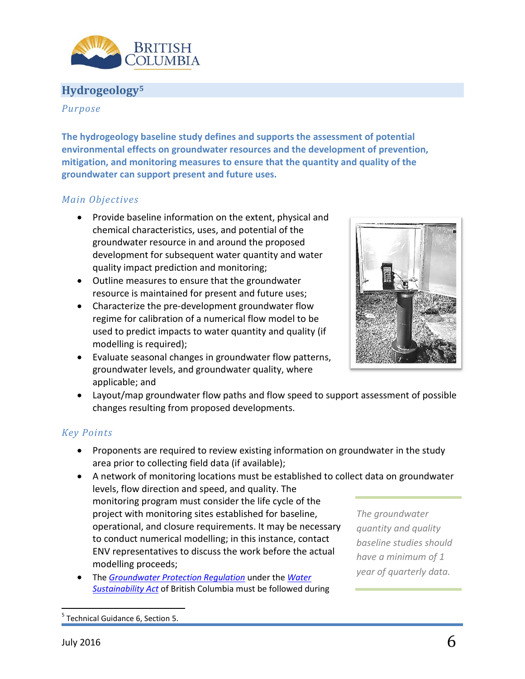

### **Hydrogeolog[y5](#page-5-0)**

#### *Purpose*

**The hydrogeology baseline study defines and supports the assessment of potential environmental effects on groundwater resources and the development of prevention, mitigation, and monitoring measures to ensure that the quantity and quality of the groundwater can support present and future uses.**

#### *Main Objectives*

- Provide baseline information on the extent, physical and chemical characteristics, uses, and potential of the groundwater resource in and around the proposed development for subsequent water quantity and water quality impact prediction and monitoring;
- Outline measures to ensure that the groundwater resource is maintained for present and future uses;
- Characterize the pre-development groundwater flow regime for calibration of a numerical flow model to be used to predict impacts to water quantity and quality (if modelling is required);
- Evaluate seasonal changes in groundwater flow patterns, groundwater levels, and groundwater quality, where applicable; and



• Layout/map groundwater flow paths and flow speed to support assessment of possible changes resulting from proposed developments.

#### *Key Points*

- Proponents are required to review existing information on groundwater in the study area prior to collecting field data (if available);
- A network of monitoring locations must be established to collect data on groundwater levels, flow direction and speed, and quality. The monitoring program must consider the life cycle of the project with monitoring sites established for baseline, operational, and closure requirements. It may be necessary to conduct numerical modelling; in this instance, contact ENV representatives to discuss the work before the actual modelling proceeds; *The groundwater quantity and quality have a minimum of 1*
- The *[Groundwater Protection Regulation](http://www2.gov.bc.ca/gov/content/environment/air-land-water/water/laws-rules/groundwater-protection-regulation)* under the *[Water](http://engage.gov.bc.ca/watersustainabilityact/)  [Sustainability Act](http://engage.gov.bc.ca/watersustainabilityact/)* of British Columbia must be followed during

*baseline studies should year of quarterly data.* 

<span id="page-5-0"></span><sup>&</sup>lt;sup>5</sup> Technical Guidance 6, Section 5.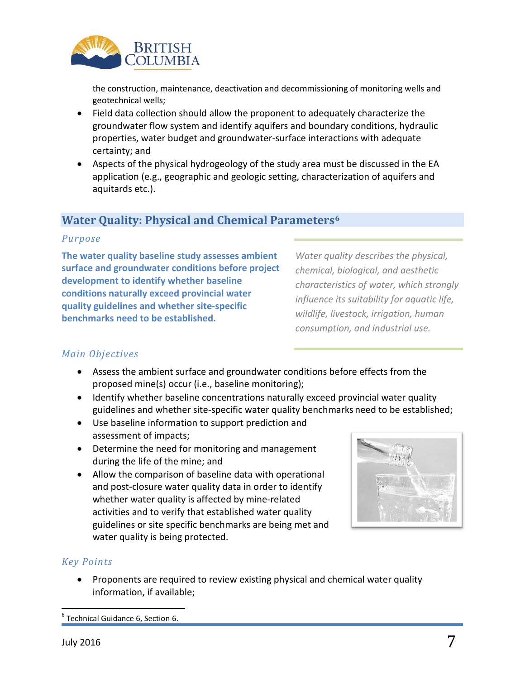

the construction, maintenance, deactivation and decommissioning of monitoring wells and geotechnical wells;

- Field data collection should allow the proponent to adequately characterize the groundwater flow system and identify aquifers and boundary conditions, hydraulic properties, water budget and groundwater-surface interactions with adequate certainty; and
- Aspects of the physical hydrogeology of the study area must be discussed in the EA application (e.g., geographic and geologic setting, characterization of aquifers and aquitards etc.).

### **Water Quality: Physical and Chemical Parameters[6](#page-6-0)**

#### *Purpose*

**The water quality baseline study assesses ambient surface and groundwater conditions before project development to identify whether baseline conditions naturally exceed provincial water quality guidelines and whether site-specific benchmarks need to be established.**

*Water quality describes the physical, chemical, biological, and aesthetic characteristics of water, which strongly influence its suitability for aquatic life, wildlife, livestock, irrigation, human consumption, and industrial use.*

#### *Main Objectives*

- Assess the ambient surface and groundwater conditions before effects from the proposed mine(s) occur (i.e., baseline monitoring);
- Identify whether baseline concentrations naturally exceed provincial water quality guidelines and whether site-specific water quality benchmarks need to be established;
- Use baseline information to support prediction and assessment of impacts;
- Determine the need for monitoring and management during the life of the mine; and
- Allow the comparison of baseline data with operational and post-closure water quality data in order to identify whether water quality is affected by mine-related activities and to verify that established water quality guidelines or site specific benchmarks are being met and water quality is being protected.



#### *Key Points*

• Proponents are required to review existing physical and chemical water quality information, if available;

<span id="page-6-0"></span> $6$  Technical Guidance 6, Section 6.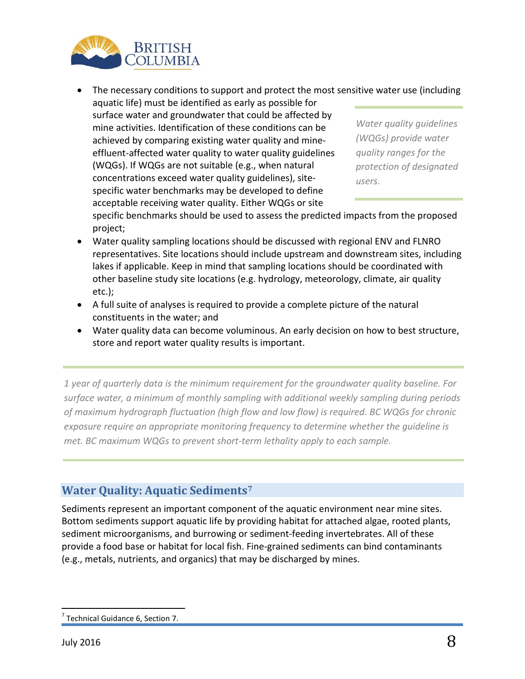

• The necessary conditions to support and protect the most sensitive water use (including

aquatic life) must be identified as early as possible for surface water and groundwater that could be affected by mine activities. Identification of these conditions can be achieved by comparing existing water quality and mineeffluent-affected water quality to water quality guidelines (WQGs). If WQGs are not suitable (e.g., when natural concentrations exceed water quality guidelines), sitespecific water benchmarks may be developed to define acceptable receiving water quality. Either WQGs or site

*Water quality guidelines (WQGs) provide water quality ranges for the protection of designated users.* 

specific benchmarks should be used to assess the predicted impacts from the proposed project;

- Water quality sampling locations should be discussed with regional ENV and FLNRO representatives. Site locations should include upstream and downstream sites, including lakes if applicable. Keep in mind that sampling locations should be coordinated with other baseline study site locations (e.g. hydrology, meteorology, climate, air quality etc.);
- A full suite of analyses is required to provide a complete picture of the natural constituents in the water; and
- Water quality data can become voluminous. An early decision on how to best structure, store and report water quality results is important.

*1 year of quarterly data is the minimum requirement for the groundwater quality baseline. For surface water, a minimum of monthly sampling with additional weekly sampling during periods of maximum hydrograph fluctuation (high flow and low flow) is required. BC WQGs for chronic exposure require an appropriate monitoring frequency to determine whether the guideline is met. BC maximum WQGs to prevent short-term lethality apply to each sample.*

# **Water Quality: Aquatic Sediments[7](#page-7-0)**

Sediments represent an important component of the aquatic environment near mine sites. Bottom sediments support aquatic life by providing habitat for attached algae, rooted plants, sediment microorganisms, and burrowing or sediment-feeding invertebrates. All of these provide a food base or habitat for local fish. Fine-grained sediments can bind contaminants (e.g., metals, nutrients, and organics) that may be discharged by mines.

<span id="page-7-0"></span> $7$  Technical Guidance 6, Section 7.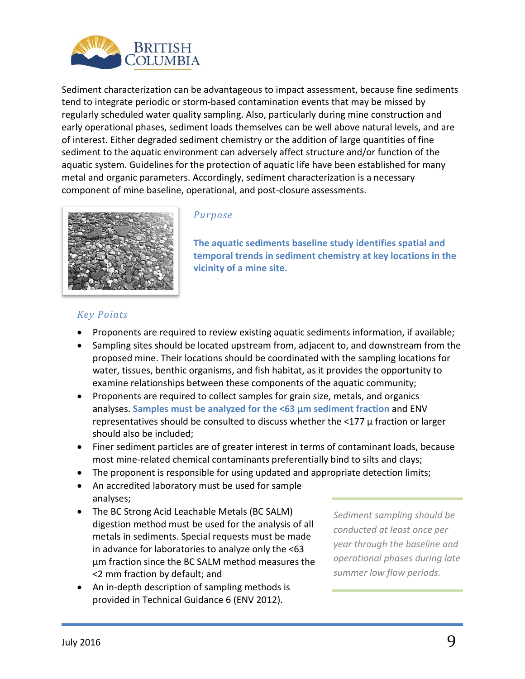

Sediment characterization can be advantageous to impact assessment, because fine sediments tend to integrate periodic or storm-based contamination events that may be missed by regularly scheduled water quality sampling. Also, particularly during mine construction and early operational phases, sediment loads themselves can be well above natural levels, and are of interest. Either degraded sediment chemistry or the addition of large quantities of fine sediment to the aquatic environment can adversely affect structure and/or function of the aquatic system. Guidelines for the protection of aquatic life have been established for many metal and organic parameters. Accordingly, sediment characterization is a necessary component of mine baseline, operational, and post-closure assessments.



#### *Purpose*

**The aquatic sediments baseline study identifies spatial and temporal trends in sediment chemistry at key locations in the vicinity of a mine site.**

#### *Key Points*

- Proponents are required to review existing aquatic sediments information, if available;
- Sampling sites should be located upstream from, adjacent to, and downstream from the proposed mine. Their locations should be coordinated with the sampling locations for water, tissues, benthic organisms, and fish habitat, as it provides the opportunity to examine relationships between these components of the aquatic community;
- Proponents are required to collect samples for grain size, metals, and organics analyses. **Samples must be analyzed for the <63 μm sediment fraction** and ENV representatives should be consulted to discuss whether the <177 μ fraction or larger should also be included;
- Finer sediment particles are of greater interest in terms of contaminant loads, because most mine-related chemical contaminants preferentially bind to silts and clays;
- The proponent is responsible for using updated and appropriate detection limits;
- An accredited laboratory must be used for sample analyses;
- The BC Strong Acid Leachable Metals (BC SALM) digestion method must be used for the analysis of all metals in sediments. Special requests must be made in advance for laboratories to analyze only the <63 μm fraction since the BC SALM method measures the <2 mm fraction by default; and
- An in-depth description of sampling methods is provided in Technical Guidance 6 (ENV 2012).

*Sediment sampling should be conducted at least once per year through the baseline and operational phases during late summer low flow periods.*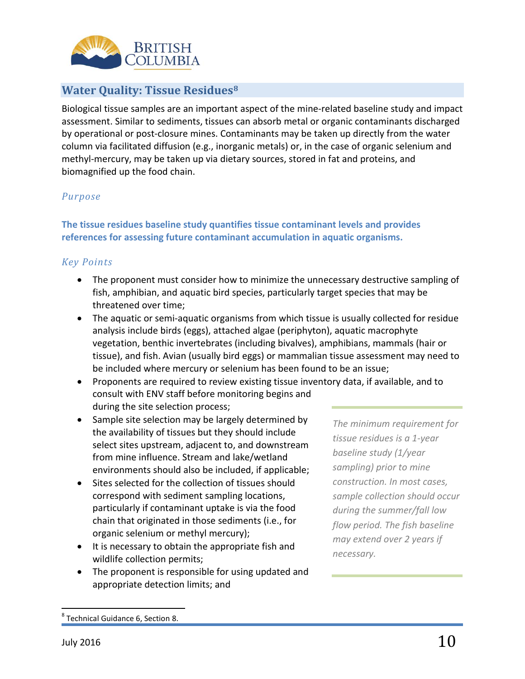

### **Water Quality: Tissue Residues[8](#page-9-0)**

Biological tissue samples are an important aspect of the mine-related baseline study and impact assessment. Similar to sediments, tissues can absorb metal or organic contaminants discharged by operational or post-closure mines. Contaminants may be taken up directly from the water column via facilitated diffusion (e.g., inorganic metals) or, in the case of organic selenium and methyl-mercury, may be taken up via dietary sources, stored in fat and proteins, and biomagnified up the food chain.

#### *Purpose*

#### **The tissue residues baseline study quantifies tissue contaminant levels and provides references for assessing future contaminant accumulation in aquatic organisms.**

#### *Key Points*

- The proponent must consider how to minimize the unnecessary destructive sampling of fish, amphibian, and aquatic bird species, particularly target species that may be threatened over time;
- The aquatic or semi-aquatic organisms from which tissue is usually collected for residue analysis include birds (eggs), attached algae (periphyton), aquatic macrophyte vegetation, benthic invertebrates (including bivalves), amphibians, mammals (hair or tissue), and fish. Avian (usually bird eggs) or mammalian tissue assessment may need to be included where mercury or selenium has been found to be an issue;
- Proponents are required to review existing tissue inventory data, if available, and to consult with ENV staff before monitoring begins and during the site selection process;
- Sample site selection may be largely determined by the availability of tissues but they should include select sites upstream, adjacent to, and downstream from mine influence. Stream and lake/wetland environments should also be included, if applicable;
- Sites selected for the collection of tissues should correspond with sediment sampling locations, particularly if contaminant uptake is via the food chain that originated in those sediments (i.e., for organic selenium or methyl mercury);
- It is necessary to obtain the appropriate fish and wildlife collection permits;
- The proponent is responsible for using updated and appropriate detection limits; and

*The minimum requirement for tissue residues is a 1-year baseline study (1/year sampling) prior to mine construction. In most cases, sample collection should occur during the summer/fall low flow period. The fish baseline may extend over 2 years if necessary.*

<span id="page-9-0"></span> <sup>8</sup> Technical Guidance 6, Section 8.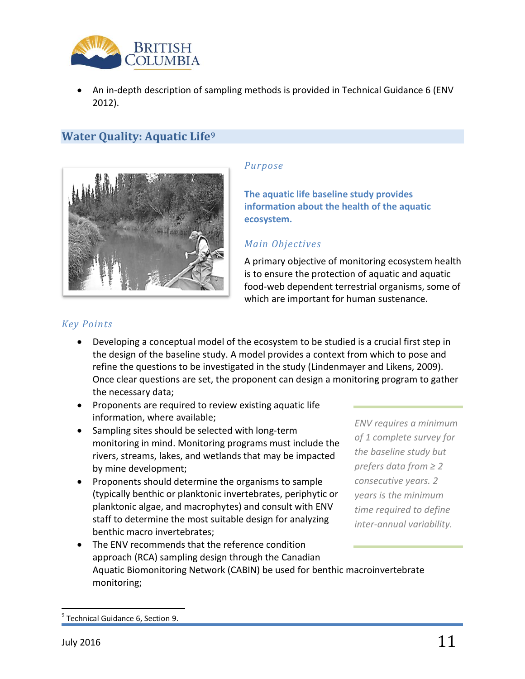

• An in-depth description of sampling methods is provided in Technical Guidance 6 (ENV 2012).

# **Water Quality: Aquatic Life[9](#page-10-0)**



#### *Purpose*

**The aquatic life baseline study provides information about the health of the aquatic ecosystem.**

#### *Main Objectives*

A primary objective of monitoring ecosystem health is to ensure the protection of aquatic and aquatic food-web dependent terrestrial organisms, some of which are important for human sustenance.

#### *Key Points*

- Developing a conceptual model of the ecosystem to be studied is a crucial first step in the design of the baseline study. A model provides a context from which to pose and refine the questions to be investigated in the study (Lindenmayer and Likens, 2009). Once clear questions are set, the proponent can design a monitoring program to gather the necessary data;
- Proponents are required to review existing aquatic life information, where available;
- Sampling sites should be selected with long-term monitoring in mind. Monitoring programs must include the rivers, streams, lakes, and wetlands that may be impacted by mine development;
- Proponents should determine the organisms to sample (typically benthic or planktonic invertebrates, periphytic or planktonic algae, and macrophytes) and consult with ENV staff to determine the most suitable design for analyzing benthic macro invertebrates;

*ENV requires a minimum of 1 complete survey for the baseline study but prefers data from ≥ 2 consecutive years. 2 years is the minimum time required to define inter-annual variability.*

• The ENV recommends that the reference condition approach (RCA) sampling design through the Canadian Aquatic Biomonitoring Network (CABIN) be used for benthic macroinvertebrate monitoring;

<span id="page-10-0"></span> $<sup>9</sup>$  Technical Guidance 6, Section 9.</sup>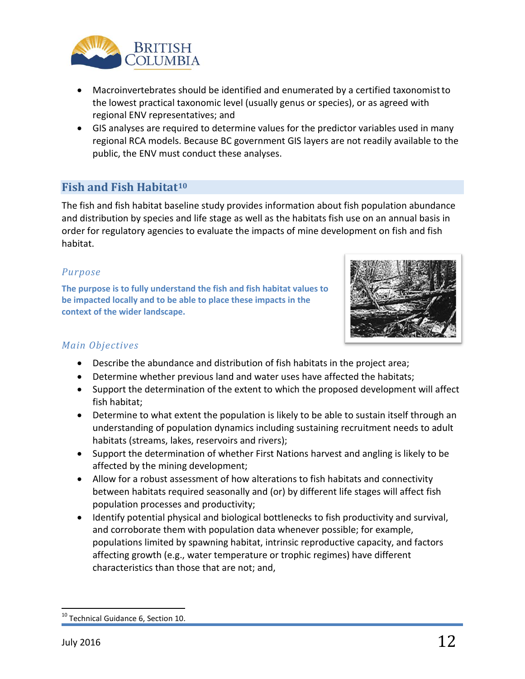

- Macroinvertebrates should be identified and enumerated by a certified taxonomistto the lowest practical taxonomic level (usually genus or species), or as agreed with regional ENV representatives; and
- GIS analyses are required to determine values for the predictor variables used in many regional RCA models. Because BC government GIS layers are not readily available to the public, the ENV must conduct these analyses.

### **Fish and Fish Habitat[10](#page-11-0)**

The fish and fish habitat baseline study provides information about fish population abundance and distribution by species and life stage as well as the habitats fish use on an annual basis in order for regulatory agencies to evaluate the impacts of mine development on fish and fish habitat.

#### *Purpose*

**The purpose is to fully understand the fish and fish habitat values to be impacted locally and to be able to place these impacts in the context of the wider landscape.**



#### *Main Objectives*

- Describe the abundance and distribution of fish habitats in the project area;
- Determine whether previous land and water uses have affected the habitats;
- Support the determination of the extent to which the proposed development will affect fish habitat;
- Determine to what extent the population is likely to be able to sustain itself through an understanding of population dynamics including sustaining recruitment needs to adult habitats (streams, lakes, reservoirs and rivers);
- Support the determination of whether First Nations harvest and angling is likely to be affected by the mining development;
- Allow for a robust assessment of how alterations to fish habitats and connectivity between habitats required seasonally and (or) by different life stages will affect fish population processes and productivity;
- Identify potential physical and biological bottlenecks to fish productivity and survival, and corroborate them with population data whenever possible; for example, populations limited by spawning habitat, intrinsic reproductive capacity, and factors affecting growth (e.g., water temperature or trophic regimes) have different characteristics than those that are not; and,

<span id="page-11-0"></span><sup>&</sup>lt;sup>10</sup> Technical Guidance 6, Section 10.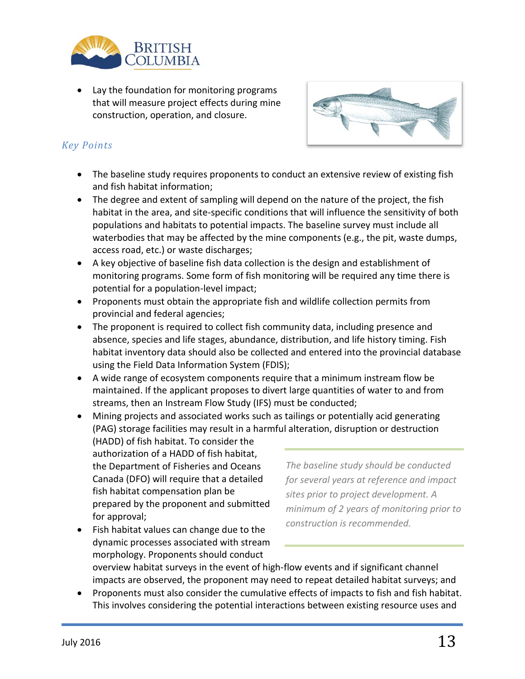

• Lay the foundation for monitoring programs that will measure project effects during mine construction, operation, and closure.



#### *Key Points*

- The baseline study requires proponents to conduct an extensive review of existing fish and fish habitat information;
- The degree and extent of sampling will depend on the nature of the project, the fish habitat in the area, and site-specific conditions that will influence the sensitivity of both populations and habitats to potential impacts. The baseline survey must include all waterbodies that may be affected by the mine components (e.g., the pit, waste dumps, access road, etc.) or waste discharges;
- A key objective of baseline fish data collection is the design and establishment of monitoring programs. Some form of fish monitoring will be required any time there is potential for a population-level impact;
- Proponents must obtain the appropriate fish and wildlife collection permits from provincial and federal agencies;
- The proponent is required to collect fish community data, including presence and absence, species and life stages, abundance, distribution, and life history timing. Fish habitat inventory data should also be collected and entered into the provincial database using the Field Data Information System (FDIS);
- A wide range of ecosystem components require that a minimum instream flow be maintained. If the applicant proposes to divert large quantities of water to and from streams, then an Instream Flow Study (IFS) must be conducted;
- Mining projects and associated works such as tailings or potentially acid generating (PAG) storage facilities may result in a harmful alteration, disruption or destruction
	- (HADD) of fish habitat. To consider the authorization of a HADD of fish habitat, the Department of Fisheries and Oceans Canada (DFO) will require that a detailed fish habitat compensation plan be prepared by the proponent and submitted for approval;

*The baseline study should be conducted for several years at reference and impact sites prior to project development. A minimum of 2 years of monitoring prior to construction is recommended.*

• Fish habitat values can change due to the dynamic processes associated with stream morphology. Proponents should conduct

overview habitat surveys in the event of high-flow events and if significant channel impacts are observed, the proponent may need to repeat detailed habitat surveys; and

• Proponents must also consider the cumulative effects of impacts to fish and fish habitat. This involves considering the potential interactions between existing resource uses and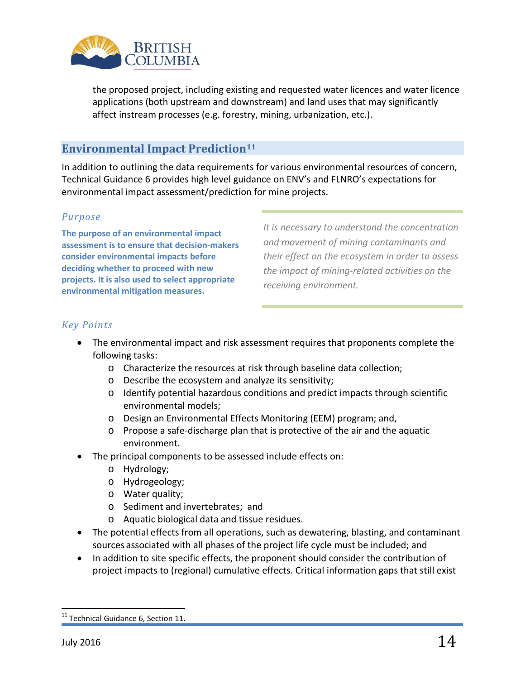

the proposed project, including existing and requested water licences and water licence applications (both upstream and downstream) and land uses that may significantly affect instream processes (e.g. forestry, mining, urbanization, etc.).

# **Environmental Impact Prediction[11](#page-13-0)**

In addition to outlining the data requirements for various environmental resources of concern, Technical Guidance 6 provides high level guidance on ENV's and FLNRO's expectations for environmental impact assessment/prediction for mine projects.

#### *Purpose*

**The purpose of an environmental impact assessment is to ensure that decision-makers consider environmental impacts before deciding whether to proceed with new projects. It is also used to select appropriate environmental mitigation measures.** 

*It is necessary to understand the concentration and movement of mining contaminants and their effect on the ecosystem in order to assess the impact of mining-related activities on the receiving environment.*

#### *Key Points*

- The environmental impact and risk assessment requires that proponents complete the following tasks:
	- o Characterize the resources at risk through baseline data collection;
	- o Describe the ecosystem and analyze its sensitivity;
	- o Identify potential hazardous conditions and predict impacts through scientific environmental models;
	- o Design an Environmental Effects Monitoring (EEM) program; and,
	- o Propose a safe-discharge plan that is protective of the air and the aquatic environment.
- The principal components to be assessed include effects on:
	- o Hydrology;
	- o Hydrogeology;
	- o Water quality;
	- o Sediment and invertebrates; and
	- o Aquatic biological data and tissue residues.
- The potential effects from all operations, such as dewatering, blasting, and contaminant sources associated with all phases of the project life cycle must be included; and
- In addition to site specific effects, the proponent should consider the contribution of project impacts to (regional) cumulative effects. Critical information gaps that still exist

<span id="page-13-0"></span><sup>&</sup>lt;sup>11</sup> Technical Guidance 6, Section 11.